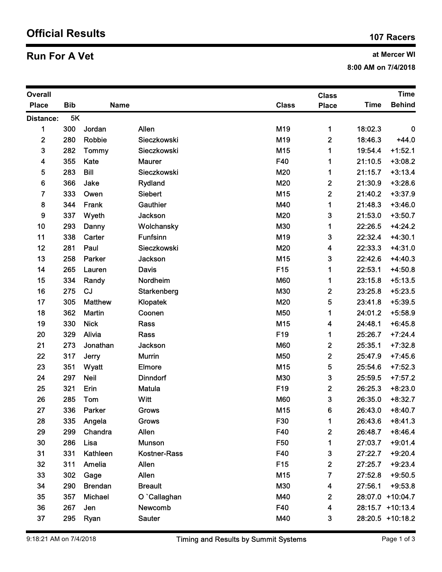## Official Results 107 Racers 107 Racers

## **Run For A Vet** and Mercer WI

| at Mercer WI<br><b>Run For A Vet</b><br>8:00 AM on 7/4/2018 |            |                |                       |                             |                            |                    |                        |  |  |
|-------------------------------------------------------------|------------|----------------|-----------------------|-----------------------------|----------------------------|--------------------|------------------------|--|--|
| Overall                                                     |            |                |                       | <b>Time</b><br><b>Class</b> |                            |                    |                        |  |  |
| <b>Place</b>                                                | <b>Bib</b> | <b>Name</b>    |                       | <b>Class</b>                | <b>Place</b>               | <b>Time</b>        | <b>Behind</b>          |  |  |
| <b>Distance:</b>                                            | 5K         |                |                       |                             |                            |                    |                        |  |  |
| $\mathbf 1$                                                 | 300        | Jordan         | Allen                 | M19                         | $\mathbf 1$                | 18:02.3            | $\bf{0}$               |  |  |
| $\boldsymbol{2}$                                            | 280        | <b>Robbie</b>  | Sieczkowski           | M19                         | $\overline{\mathbf{c}}$    | 18:46.3            | $+44.0$                |  |  |
| 3                                                           | 282        | Tommy          | Sieczkowski           | M15                         | $\mathbf 1$                | 19:54.4            | $+1:52.1$              |  |  |
| $\overline{\mathbf{4}}$<br>5                                | 355<br>283 | Kate<br>Bill   | Maurer<br>Sieczkowski | F40<br>M20                  | $\mathbf 1$<br>$\mathbf 1$ | 21:10.5<br>21:15.7 | $+3:08.2$<br>$+3:13.4$ |  |  |
| 6                                                           | 366        | Jake           | Rydland               | M20                         | 2                          | 21:30.9            | $+3:28.6$              |  |  |
| 7                                                           | 333        | Owen           | Siebert               | M15                         | $\boldsymbol{2}$           | 21:40.2            | $+3:37.9$              |  |  |
| 8                                                           | 344        | Frank          | Gauthier              | M40                         | 1                          | 21:48.3            | $+3:46.0$              |  |  |
| 9                                                           | 337        | Wyeth          | Jackson               | M20                         | 3                          | 21:53.0            | $+3:50.7$              |  |  |
| 10                                                          | 293        | Danny          | Wolchansky            | M30                         | 1                          | 22:26.5            | $+4:24.2$              |  |  |
| 11                                                          | 338        | Carter         | Funfsinn              | M19                         | 3                          | 22:32.4            | $+4:30.1$              |  |  |
| 12                                                          | 281        | Paul           | Sieczkowski           | M20                         | 4                          | 22:33.3            | $+4:31.0$              |  |  |
| 13                                                          | 258        | Parker         | Jackson               | M15                         | 3                          | 22:42.6            | $+4:40.3$              |  |  |
| 14                                                          | 265        | Lauren         | <b>Davis</b>          | F <sub>15</sub>             | 1                          | 22:53.1            | $+4:50.8$              |  |  |
| 15                                                          | 334        | Randy          | Nordheim              | <b>M60</b>                  | 1                          | 23:15.8            | $+5:13.5$              |  |  |
| 16                                                          | 275        | CJ             | Starkenberg           | M30                         | 2                          | 23:25.8            | $+5:23.5$              |  |  |
| 17                                                          | 305        | <b>Matthew</b> | Klopatek              | M20                         | 5                          | 23:41.8            | $+5:39.5$              |  |  |
| 18                                                          | 362        | <b>Martin</b>  | Coonen                | M50                         | 1                          | 24:01.2            | $+5:58.9$              |  |  |
| 19                                                          | 330        | <b>Nick</b>    | Rass                  | M15                         | 4                          | 24:48.1            | $+6:45.8$              |  |  |
| 20                                                          | 329        | Alivia         | Rass                  | F19                         | 1.                         | 25:26.7            | $+7:24.4$              |  |  |
| 21                                                          | 273        | Jonathan       | Jackson               | <b>M60</b>                  | $\boldsymbol{2}$           | 25:35.1            | $+7:32.8$              |  |  |
| 22                                                          | 317        | Jerry          | <b>Murrin</b>         | M50                         | $\mathbf{2}$               | 25:47.9            | $+7:45.6$              |  |  |
| 23                                                          | 351        | Wyatt          | Elmore                | M15                         | 5                          | 25:54.6            | $+7:52.3$              |  |  |
| 24                                                          | 297        | <b>Neil</b>    | <b>Dinndorf</b>       | M30                         | 3                          | 25:59.5            | $+7:57.2$              |  |  |
| 25                                                          | 321<br>285 | Erin<br>Tom    | Matula<br>Witt        | F19<br><b>M60</b>           | $\boldsymbol{2}$           | 26:25.3            | $+8:23.0$              |  |  |
| 26<br>27                                                    | 336        | Parker         | <b>Grows</b>          | M15                         | 3<br>6                     | 26:35.0<br>26:43.0 | $+8:32.7$<br>$+8:40.7$ |  |  |
| 28                                                          | 335        | Angela         | <b>Grows</b>          | F30                         | 1                          | 26:43.6            | $+8:41.3$              |  |  |
| 29                                                          | 299        | Chandra        | Allen                 | F40                         | $\boldsymbol{2}$           | 26:48.7            | $+8:46.4$              |  |  |
| 30                                                          | 286        | Lisa           | <b>Munson</b>         | F50                         | 1                          | 27:03.7            | $+9:01.4$              |  |  |
| 31                                                          | 331        | Kathleen       | Kostner-Rass          | F40                         | 3                          | 27:22.7            | $+9:20.4$              |  |  |
| 32                                                          | 311        | Amelia         | Allen                 | F <sub>15</sub>             | $\mathbf 2$                | 27:25.7            | $+9:23.4$              |  |  |
| 33                                                          | 302        | Gage           | Allen                 | M15                         | $\overline{7}$             | 27:52.8            | $+9:50.5$              |  |  |
| 34                                                          | 290        | <b>Brendan</b> | <b>Breault</b>        | M30                         | $\overline{\mathbf{4}}$    | 27:56.1            | $+9:53.8$              |  |  |
| 35                                                          | 357        | Michael        | O `Callaghan          | M40                         | $\boldsymbol{2}$           | 28:07.0 +10:04.7   |                        |  |  |
| 36                                                          | 267        | Jen            | Newcomb               | F40                         | 4                          | 28:15.7 +10:13.4   |                        |  |  |
| 37                                                          | 295        | Ryan           | Sauter                | M40                         | 3                          | 28:20.5 +10:18.2   |                        |  |  |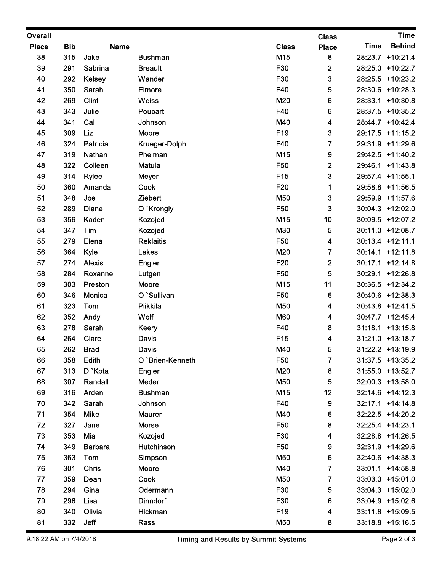| <b>Overall</b> |            |                       |                           |                 | <b>Class</b>            |             | <b>Time</b>                               |
|----------------|------------|-----------------------|---------------------------|-----------------|-------------------------|-------------|-------------------------------------------|
| <b>Place</b>   | <b>Bib</b> | <b>Name</b>           |                           | <b>Class</b>    | <b>Place</b>            | <b>Time</b> | <b>Behind</b>                             |
| 38             | 315        | Jake                  | <b>Bushman</b>            | M15             | 8                       |             | 28:23.7 +10:21.4                          |
| 39             | 291        | Sabrina               | <b>Breault</b>            | F30             | $\mathbf{2}$            |             | 28:25.0 +10:22.7                          |
| 40             | 292        | Kelsey                | Wander                    | F30             | 3                       |             | 28:25.5 +10:23.2                          |
| 41             | 350        | Sarah                 | Elmore                    | F40             | 5                       |             | 28:30.6 +10:28.3                          |
| 42             | 269        | <b>Clint</b>          | Weiss                     | M20             | 6                       |             | 28:33.1 +10:30.8                          |
| 43<br>44       | 343<br>341 | Julie<br>Cal          | Poupart<br>Johnson        | F40<br>M40      | 6<br>4                  |             | 28:37.5 +10:35.2<br>28:44.7 +10:42.4      |
| 45             | 309        | Liz                   | Moore                     | F19             | 3                       |             | 29:17.5 +11:15.2                          |
| 46             | 324        | Patricia              | Krueger-Dolph             | F40             | $\overline{7}$          |             | 29:31.9 +11:29.6                          |
| 47             | 319        | Nathan                | Phelman                   | M15             | $\boldsymbol{9}$        |             | 29:42.5 +11:40.2                          |
| 48             | 322        | Colleen               | Matula                    | F50             | $\overline{2}$          |             | 29:46.1 +11:43.8                          |
| 49             | 314        | <b>Rylee</b>          | <b>Meyer</b>              | F15             | 3                       |             | 29:57.4 +11:55.1                          |
| 50             | 360        | Amanda                | Cook                      | F20             | -1                      |             | 29:58.8 +11:56.5                          |
| 51             | 348        | Joe                   | Ziebert                   | M50             | 3                       |             | 29:59.9 +11:57.6                          |
| 52             | 289        | Diane                 | O `Krongly                | F50             | 3                       |             | $30:04.3$ +12:02.0                        |
| 53             | 356        | Kaden                 | Kozojed                   | M15             | 10                      |             | 30:09.5 +12:07.2                          |
| 54             | 347        | Tim                   | Kozojed                   | M30             | 5                       |             | 30:11.0 +12:08.7                          |
| 55<br>56       | 279<br>364 | Elena                 | <b>Reklaitis</b>          | F50<br>M20      | 4<br>$\overline{7}$     |             | $30:13.4$ +12:11.1<br>$30:14.1 + 12:11.8$ |
| 57             | 274        | Kyle<br><b>Alexis</b> | Lakes<br>Engler           | F20             | $\mathbf{2}$            |             | $30:17.1 + 12:14.8$                       |
| 58             | 284        | Roxanne               | Lutgen                    | F50             | 5                       |             | 30:29.1 +12:26.8                          |
| 59             | 303        | Preston               | Moore                     | M15             | 11                      |             | 30:36.5 +12:34.2                          |
| 60             | 346        | Monica                | O `Sullivan               | F50             | 6                       |             | 30:40.6 +12:38.3                          |
| 61             | 323        | Tom                   | Piikkila                  | M50             | 4                       |             | 30:43.8 +12:41.5                          |
| 62             | 352        | Andy                  | Wolf                      | <b>M60</b>      | 4                       |             | 30:47.7 +12:45.4                          |
| 63             | 278        | Sarah                 | Keery                     | F40             | 8                       |             | $31:18.1 + 13:15.8$                       |
| 64             | 264        | Clare                 | Davis                     | F <sub>15</sub> | $\overline{\mathbf{4}}$ |             | 31:21.0 +13:18.7                          |
| 65             | 262        | <b>Brad</b>           | Davis                     | M40             | 5                       |             | 31:22.2 +13:19.9                          |
| 66             | 358        | Edith                 | O `Brien-Kenneth          | F50             | $\overline{7}$          |             | 31:37.5 +13:35.2                          |
| 67             | 313        | D `Kota               | <b>Engler</b>             | M20             | 8                       |             | 31:55.0 +13:52.7                          |
| 68             | 307        | Randall               | Meder                     | M50             | 5                       |             | 32:00.3 +13:58.0                          |
| 69<br>70       | 316<br>342 | Arden<br>Sarah        | <b>Bushman</b><br>Johnson | M15<br>F40      | 12<br>9                 |             | 32:14.6 +14:12.3<br>32:17.1 +14:14.8      |
| 71             | 354        | Mike                  | <b>Maurer</b>             | M40             | 6                       |             | 32:22.5 +14:20.2                          |
| 72             | 327        | Jane                  | Morse                     | F50             | 8                       |             | 32:25.4 +14:23.1                          |
| 73             | 353        | Mia                   | Kozojed                   | F30             | 4                       |             | 32:28.8 +14:26.5                          |
| 74             | 349        | <b>Barbara</b>        | Hutchinson                | F50             | 9                       |             | 32:31.9 +14:29.6                          |
| 75             | 363        | Tom                   | Simpson                   | M50             | 6                       |             | 32:40.6 +14:38.3                          |
| 76             | 301        | <b>Chris</b>          | Moore                     | M40             | $\overline{7}$          |             | 33:01.1 +14:58.8                          |
| 77             | 359        | Dean                  | Cook                      | M50             | $\overline{7}$          |             | $33:03.3 +15:01.0$                        |
| 78             | 294        | Gina                  | Odermann                  | F30             | 5                       |             | 33:04.3 +15:02.0                          |
| 79             | 296        | Lisa                  | <b>Dinndorf</b>           | F30             | 6                       |             | 33:04.9 +15:02.6                          |
| 80             | 340        | Olivia                | Hickman                   | F19             | $\overline{\mathbf{4}}$ |             | 33:11.8 +15:09.5                          |
| 81             | 332 Jeff   |                       | Rass                      | M50             | 8                       |             | 33:18.8 +15:16.5                          |